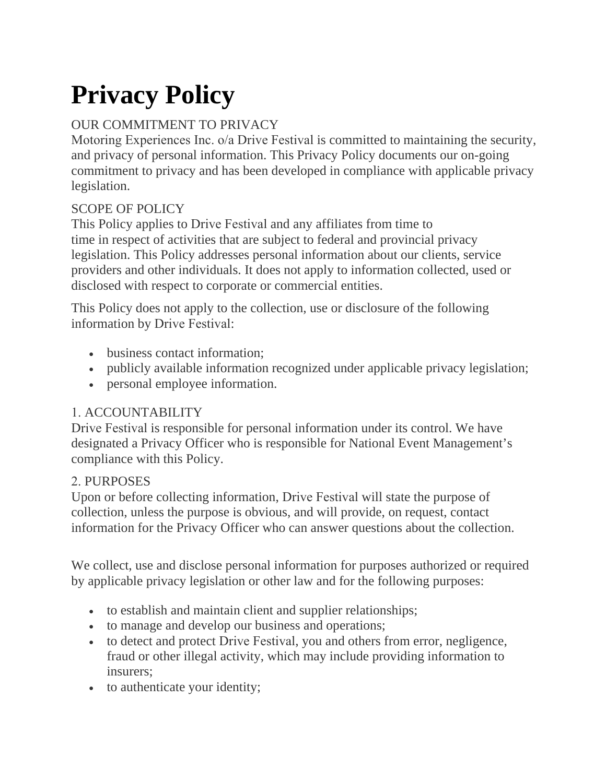# **Privacy Policy**

## OUR COMMITMENT TO PRIVACY

Motoring Experiences Inc. o/a Drive Festival is committed to maintaining the security, and privacy of personal information. This Privacy Policy documents our on-going commitment to privacy and has been developed in compliance with applicable privacy legislation.

## SCOPE OF POLICY

This Policy applies to Drive Festival and any affiliates from time to time in respect of activities that are subject to federal and provincial privacy legislation. This Policy addresses personal information about our clients, service providers and other individuals. It does not apply to information collected, used or disclosed with respect to corporate or commercial entities.

This Policy does not apply to the collection, use or disclosure of the following information by Drive Festival:

- business contact information;
- publicly available information recognized under applicable privacy legislation;
- personal employee information.

## 1. ACCOUNTABILITY

Drive Festival is responsible for personal information under its control. We have designated a Privacy Officer who is responsible for National Event Management's compliance with this Policy.

## 2. PURPOSES

Upon or before collecting information, Drive Festival will state the purpose of collection, unless the purpose is obvious, and will provide, on request, contact information for the Privacy Officer who can answer questions about the collection.

We collect, use and disclose personal information for purposes authorized or required by applicable privacy legislation or other law and for the following purposes:

- to establish and maintain client and supplier relationships;
- to manage and develop our business and operations;
- to detect and protect Drive Festival, you and others from error, negligence, fraud or other illegal activity, which may include providing information to insurers;
- to authenticate your identity;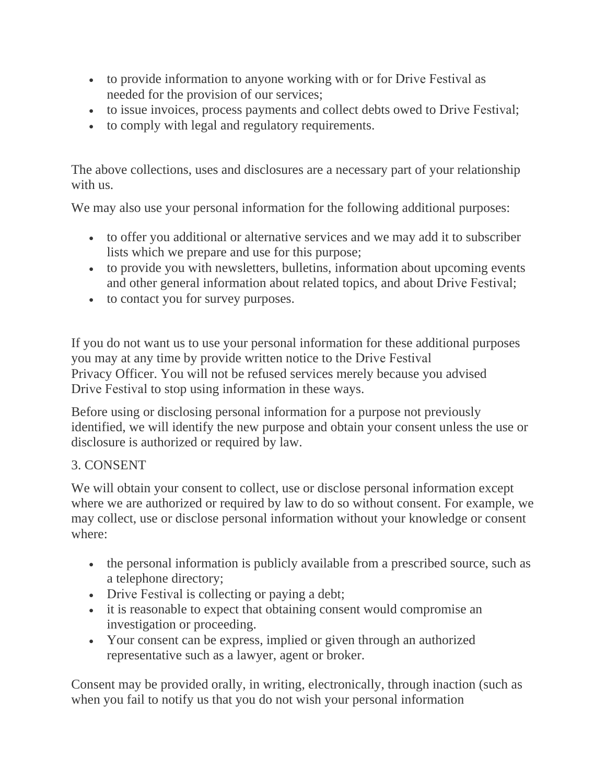- to provide information to anyone working with or for Drive Festival as needed for the provision of our services;
- to issue invoices, process payments and collect debts owed to Drive Festival;
- to comply with legal and regulatory requirements.

The above collections, uses and disclosures are a necessary part of your relationship with us.

We may also use your personal information for the following additional purposes:

- to offer you additional or alternative services and we may add it to subscriber lists which we prepare and use for this purpose;
- to provide you with newsletters, bulletins, information about upcoming events and other general information about related topics, and about Drive Festival;
- to contact you for survey purposes.

If you do not want us to use your personal information for these additional purposes you may at any time by provide written notice to the Drive Festival Privacy Officer. You will not be refused services merely because you advised Drive Festival to stop using information in these ways.

Before using or disclosing personal information for a purpose not previously identified, we will identify the new purpose and obtain your consent unless the use or disclosure is authorized or required by law.

#### 3. CONSENT

We will obtain your consent to collect, use or disclose personal information except where we are authorized or required by law to do so without consent. For example, we may collect, use or disclose personal information without your knowledge or consent where:

- the personal information is publicly available from a prescribed source, such as a telephone directory;
- Drive Festival is collecting or paying a debt;
- it is reasonable to expect that obtaining consent would compromise an investigation or proceeding.
- Your consent can be express, implied or given through an authorized representative such as a lawyer, agent or broker.

Consent may be provided orally, in writing, electronically, through inaction (such as when you fail to notify us that you do not wish your personal information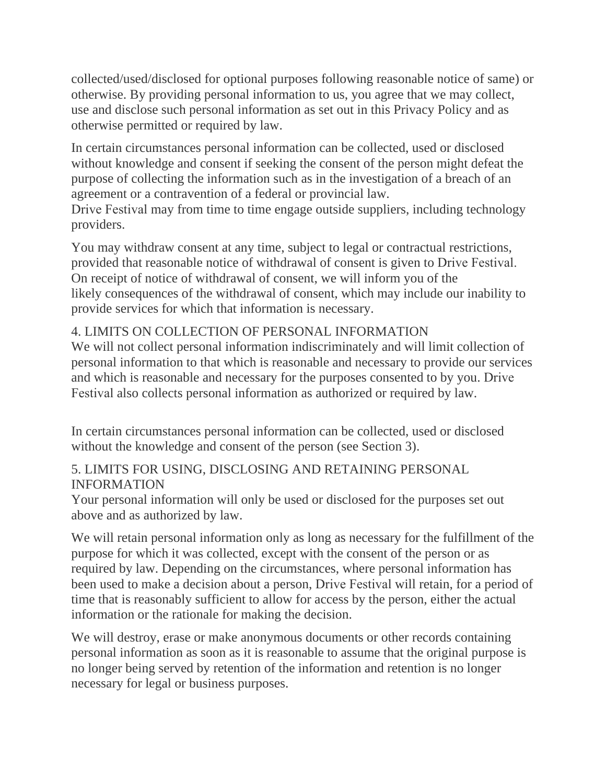collected/used/disclosed for optional purposes following reasonable notice of same) or otherwise. By providing personal information to us, you agree that we may collect, use and disclose such personal information as set out in this Privacy Policy and as otherwise permitted or required by law.

In certain circumstances personal information can be collected, used or disclosed without knowledge and consent if seeking the consent of the person might defeat the purpose of collecting the information such as in the investigation of a breach of an agreement or a contravention of a federal or provincial law.

Drive Festival may from time to time engage outside suppliers, including technology providers.

You may withdraw consent at any time, subject to legal or contractual restrictions, provided that reasonable notice of withdrawal of consent is given to Drive Festival. On receipt of notice of withdrawal of consent, we will inform you of the likely consequences of the withdrawal of consent, which may include our inability to provide services for which that information is necessary.

#### 4. LIMITS ON COLLECTION OF PERSONAL INFORMATION

We will not collect personal information indiscriminately and will limit collection of personal information to that which is reasonable and necessary to provide our services and which is reasonable and necessary for the purposes consented to by you. Drive Festival also collects personal information as authorized or required by law.

In certain circumstances personal information can be collected, used or disclosed without the knowledge and consent of the person (see Section 3).

#### 5. LIMITS FOR USING, DISCLOSING AND RETAINING PERSONAL INFORMATION

Your personal information will only be used or disclosed for the purposes set out above and as authorized by law.

We will retain personal information only as long as necessary for the fulfillment of the purpose for which it was collected, except with the consent of the person or as required by law. Depending on the circumstances, where personal information has been used to make a decision about a person, Drive Festival will retain, for a period of time that is reasonably sufficient to allow for access by the person, either the actual information or the rationale for making the decision.

We will destroy, erase or make anonymous documents or other records containing personal information as soon as it is reasonable to assume that the original purpose is no longer being served by retention of the information and retention is no longer necessary for legal or business purposes.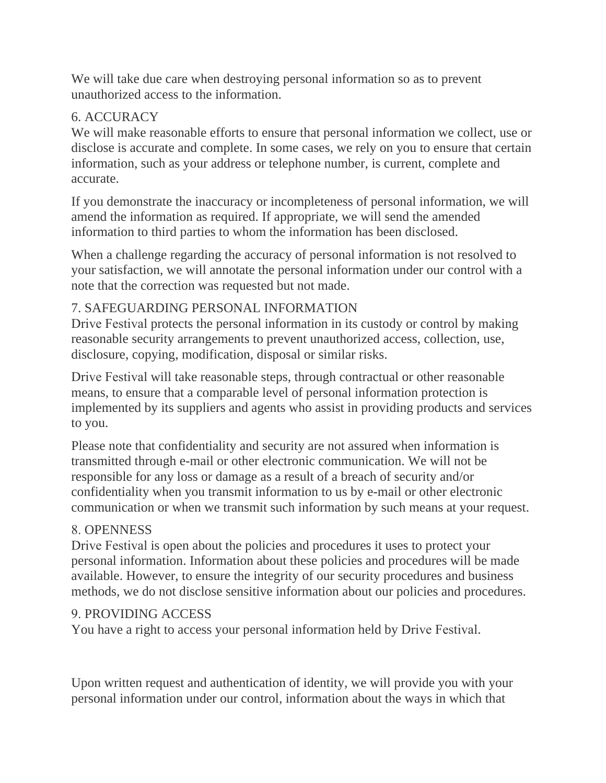We will take due care when destroying personal information so as to prevent unauthorized access to the information.

#### 6. ACCURACY

We will make reasonable efforts to ensure that personal information we collect, use or disclose is accurate and complete. In some cases, we rely on you to ensure that certain information, such as your address or telephone number, is current, complete and accurate.

If you demonstrate the inaccuracy or incompleteness of personal information, we will amend the information as required. If appropriate, we will send the amended information to third parties to whom the information has been disclosed.

When a challenge regarding the accuracy of personal information is not resolved to your satisfaction, we will annotate the personal information under our control with a note that the correction was requested but not made.

#### 7. SAFEGUARDING PERSONAL INFORMATION

Drive Festival protects the personal information in its custody or control by making reasonable security arrangements to prevent unauthorized access, collection, use, disclosure, copying, modification, disposal or similar risks.

Drive Festival will take reasonable steps, through contractual or other reasonable means, to ensure that a comparable level of personal information protection is implemented by its suppliers and agents who assist in providing products and services to you.

Please note that confidentiality and security are not assured when information is transmitted through e-mail or other electronic communication. We will not be responsible for any loss or damage as a result of a breach of security and/or confidentiality when you transmit information to us by e-mail or other electronic communication or when we transmit such information by such means at your request.

### 8. OPENNESS

Drive Festival is open about the policies and procedures it uses to protect your personal information. Information about these policies and procedures will be made available. However, to ensure the integrity of our security procedures and business methods, we do not disclose sensitive information about our policies and procedures.

### 9. PROVIDING ACCESS

You have a right to access your personal information held by Drive Festival.

Upon written request and authentication of identity, we will provide you with your personal information under our control, information about the ways in which that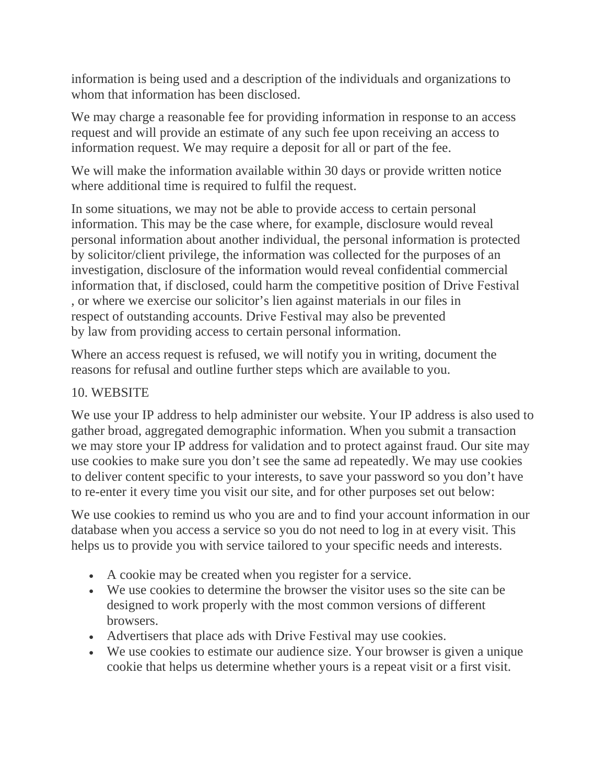information is being used and a description of the individuals and organizations to whom that information has been disclosed.

We may charge a reasonable fee for providing information in response to an access request and will provide an estimate of any such fee upon receiving an access to information request. We may require a deposit for all or part of the fee.

We will make the information available within 30 days or provide written notice where additional time is required to fulfil the request.

In some situations, we may not be able to provide access to certain personal information. This may be the case where, for example, disclosure would reveal personal information about another individual, the personal information is protected by solicitor/client privilege, the information was collected for the purposes of an investigation, disclosure of the information would reveal confidential commercial information that, if disclosed, could harm the competitive position of Drive Festival , or where we exercise our solicitor's lien against materials in our files in respect of outstanding accounts. Drive Festival may also be prevented by law from providing access to certain personal information.

Where an access request is refused, we will notify you in writing, document the reasons for refusal and outline further steps which are available to you.

#### 10. WEBSITE

We use your IP address to help administer our website. Your IP address is also used to gather broad, aggregated demographic information. When you submit a transaction we may store your IP address for validation and to protect against fraud. Our site may use cookies to make sure you don't see the same ad repeatedly. We may use cookies to deliver content specific to your interests, to save your password so you don't have to re-enter it every time you visit our site, and for other purposes set out below:

We use cookies to remind us who you are and to find your account information in our database when you access a service so you do not need to log in at every visit. This helps us to provide you with service tailored to your specific needs and interests.

- A cookie may be created when you register for a service.
- We use cookies to determine the browser the visitor uses so the site can be designed to work properly with the most common versions of different browsers.
- Advertisers that place ads with Drive Festival may use cookies.
- We use cookies to estimate our audience size. Your browser is given a unique cookie that helps us determine whether yours is a repeat visit or a first visit.